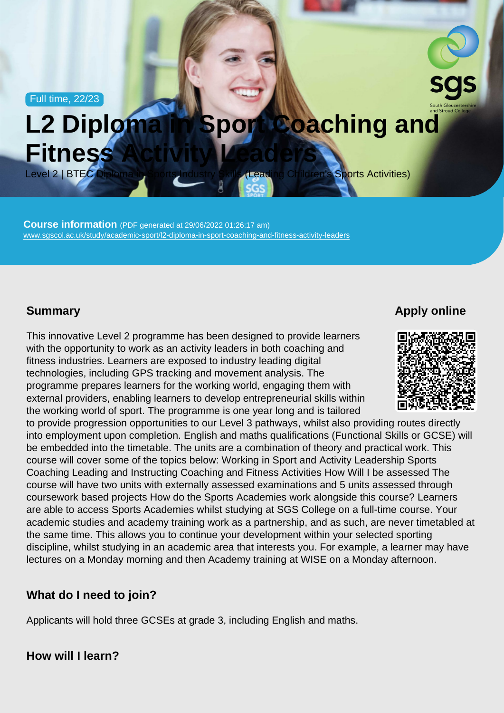Full time, 22/23

# L2 Diploma in Sport Coaching and Fitness Activity Leaders

Level 2 | BTEC Diploma in Sports Industry Skills (Leading Children's Sports Activities)

Course information (PDF generated at 29/06/2022 01:26:17 am) [www.sgscol.ac.uk/study/academic-sport/l2-diploma-in-sport-coaching-and-fitness-activity-leaders](https://www.sgscol.ac.uk/study/academic-sport/l2-diploma-in-sport-coaching-and-fitness-activity-leaders)

#### **Summary**

Apply online

This innovative Level 2 programme has been designed to provide learners with the opportunity to work as an activity leaders in both coaching and fitness industries. Learners are exposed to industry leading digital technologies, including GPS tracking and movement analysis. The programme prepares learners for the working world, engaging them with external providers, enabling learners to develop entrepreneurial skills within the working world of sport. The programme is one year long and is tailored to provide progression opportunities to our Level 3 pathways, whilst also providing routes directly into employment upon completion. English and maths qualifications (Functional Skills or GCSE) will be embedded into the timetable. The units are a combination of theory and practical work. This course will cover some of the topics below: Working in Sport and Activity Leadership Sports Coaching Leading and Instructing Coaching and Fitness Activities How Will I be assessed The course will have two units with externally assessed examinations and 5 units assessed through coursework based projects How do the Sports Academies work alongside this course? Learners are able to access Sports Academies whilst studying at SGS College on a full-time course. Your academic studies and academy training work as a partnership, and as such, are never timetabled at the same time. This allows you to continue your development within your selected sporting discipline, whilst studying in an academic area that interests you. For example, a learner may have lectures on a Monday morning and then Academy training at WISE on a Monday afternoon.

What do I need to join?

Applicants will hold three GCSEs at grade 3, including English and maths.

How will I learn?